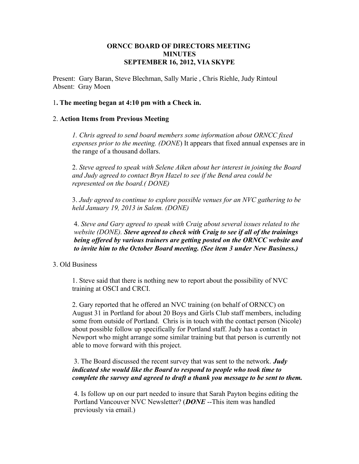# **ORNCC BOARD OF DIRECTORS MEETING MINUTES SEPTEMBER 16, 2012, VIA SKYPE**

Present: Gary Baran, Steve Blechman, Sally Marie , Chris Riehle, Judy Rintoul Absent: Gray Moen

# 1**. The meeting began at 4:10 pm with a Check in.**

## 2. **Action Items from Previous Meeting**

*1. Chris agreed to send board members some information about ORNCC fixed expenses prior to the meeting. (DONE*) It appears that fixed annual expenses are in the range of a thousand dollars.

2. *Steve agreed to speak with Selene Aiken about her interest in joining the Board and Judy agreed to contact Bryn Hazel to see if the Bend area could be represented on the board.( DONE)*

3. *Judy agreed to continue to explore possible venues for an NVC gathering to be held January 19, 2013 in Salem. (DONE)*

4. *Steve and Gary agreed to speak with Craig about several issues related to the website (DONE). Steve agreed to check with Craig to see if all of the trainings being offered by various trainers are getting posted on the ORNCC website and to invite him to the October Board meeting. (See item 3 under New Business.)*

### 3. Old Business

1. Steve said that there is nothing new to report about the possibility of NVC training at OSCI and CRCI.

2. Gary reported that he offered an NVC training (on behalf of ORNCC) on August 31 in Portland for about 20 Boys and Girls Club staff members, including some from outside of Portland. Chris is in touch with the contact person (Nicole) about possible follow up specifically for Portland staff. Judy has a contact in Newport who might arrange some similar training but that person is currently not able to move forward with this project.

# 3. The Board discussed the recent survey that was sent to the network. *Judy indicated she would like the Board to respond to people who took time to complete the survey and agreed to draft a thank you message to be sent to them.*

4. Is follow up on our part needed to insure that Sarah Payton begins editing the Portland Vancouver NVC Newsletter? (*DONE* --This item was handled previously via email.)